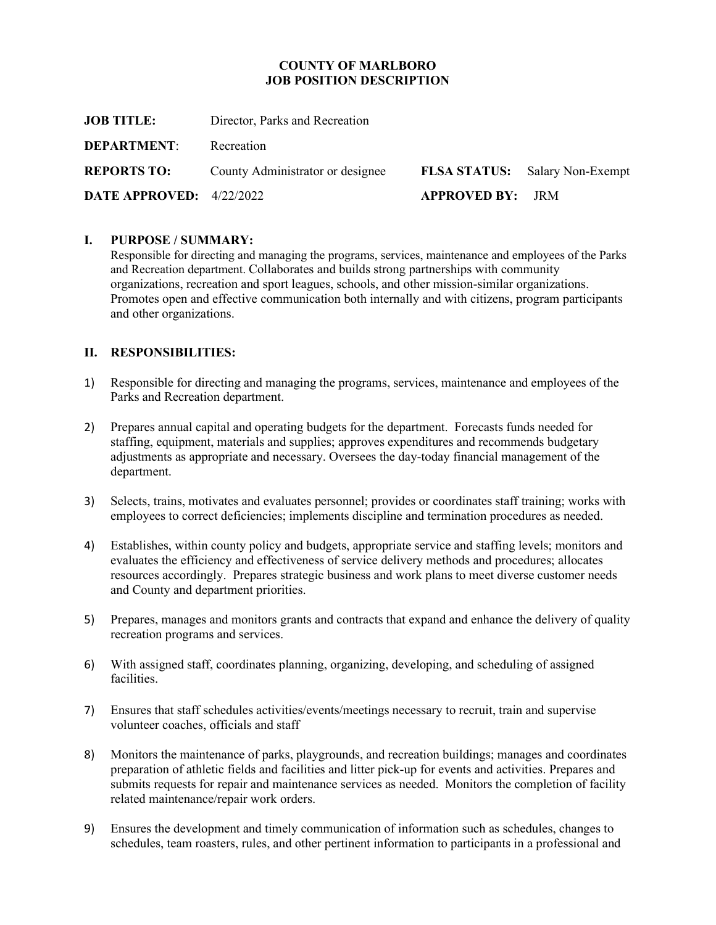#### **COUNTY OF MARLBORO JOB POSITION DESCRIPTION**

| Director, Parks and Recreation   |                                       |
|----------------------------------|---------------------------------------|
| Recreation                       |                                       |
| County Administrator or designee | <b>FLSA STATUS:</b> Salary Non-Exempt |
| DATE APPROVED: 4/22/2022         |                                       |
|                                  | <b>APPROVED BY: JRM</b>               |

#### **I. PURPOSE / SUMMARY:**

Responsible for directing and managing the programs, services, maintenance and employees of the Parks and Recreation department. Collaborates and builds strong partnerships with community organizations, recreation and sport leagues, schools, and other mission-similar organizations. Promotes open and effective communication both internally and with citizens, program participants and other organizations.

## **II. RESPONSIBILITIES:**

- 1) Responsible for directing and managing the programs, services, maintenance and employees of the Parks and Recreation department.
- 2) Prepares annual capital and operating budgets for the department. Forecasts funds needed for staffing, equipment, materials and supplies; approves expenditures and recommends budgetary adjustments as appropriate and necessary. Oversees the day-today financial management of the department.
- 3) Selects, trains, motivates and evaluates personnel; provides or coordinates staff training; works with employees to correct deficiencies; implements discipline and termination procedures as needed.
- 4) Establishes, within county policy and budgets, appropriate service and staffing levels; monitors and evaluates the efficiency and effectiveness of service delivery methods and procedures; allocates resources accordingly. Prepares strategic business and work plans to meet diverse customer needs and County and department priorities.
- 5) Prepares, manages and monitors grants and contracts that expand and enhance the delivery of quality recreation programs and services.
- 6) With assigned staff, coordinates planning, organizing, developing, and scheduling of assigned facilities.
- 7) Ensures that staff schedules activities/events/meetings necessary to recruit, train and supervise volunteer coaches, officials and staff
- 8) Monitors the maintenance of parks, playgrounds, and recreation buildings; manages and coordinates preparation of athletic fields and facilities and litter pick-up for events and activities. Prepares and submits requests for repair and maintenance services as needed. Monitors the completion of facility related maintenance/repair work orders.
- 9) Ensures the development and timely communication of information such as schedules, changes to schedules, team roasters, rules, and other pertinent information to participants in a professional and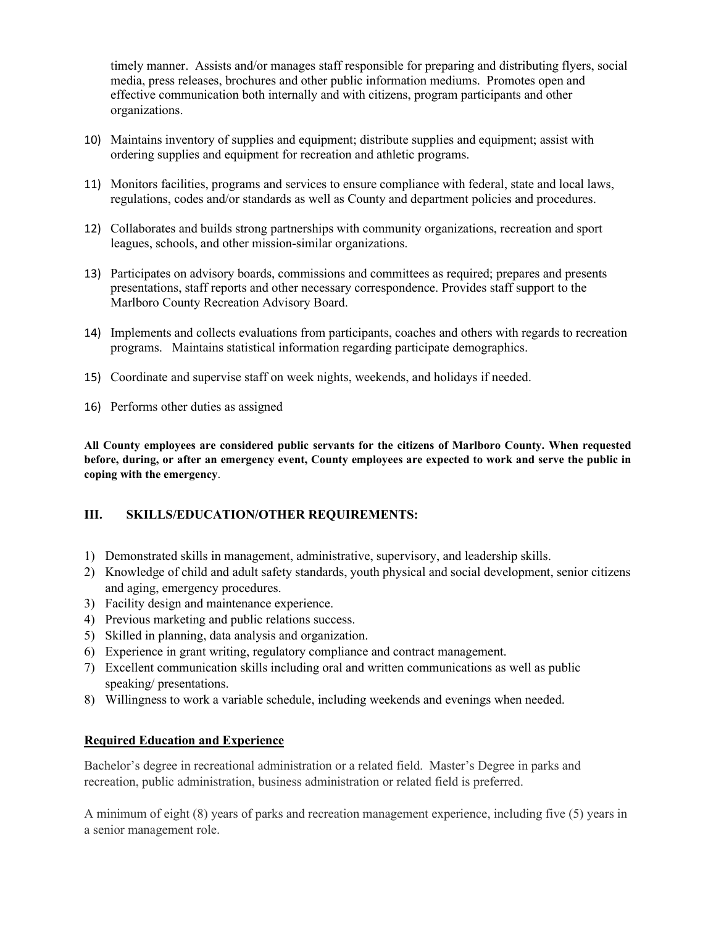timely manner. Assists and/or manages staff responsible for preparing and distributing flyers, social media, press releases, brochures and other public information mediums. Promotes open and effective communication both internally and with citizens, program participants and other organizations.

- 10) Maintains inventory of supplies and equipment; distribute supplies and equipment; assist with ordering supplies and equipment for recreation and athletic programs.
- 11) Monitors facilities, programs and services to ensure compliance with federal, state and local laws, regulations, codes and/or standards as well as County and department policies and procedures.
- 12) Collaborates and builds strong partnerships with community organizations, recreation and sport leagues, schools, and other mission-similar organizations.
- 13) Participates on advisory boards, commissions and committees as required; prepares and presents presentations, staff reports and other necessary correspondence. Provides staff support to the Marlboro County Recreation Advisory Board.
- 14) Implements and collects evaluations from participants, coaches and others with regards to recreation programs. Maintains statistical information regarding participate demographics.
- 15) Coordinate and supervise staff on week nights, weekends, and holidays if needed.
- 16) Performs other duties as assigned

**All County employees are considered public servants for the citizens of Marlboro County. When requested before, during, or after an emergency event, County employees are expected to work and serve the public in coping with the emergency**.

# **III. SKILLS/EDUCATION/OTHER REQUIREMENTS:**

- 1) Demonstrated skills in management, administrative, supervisory, and leadership skills.
- 2) Knowledge of child and adult safety standards, youth physical and social development, senior citizens and aging, emergency procedures.
- 3) Facility design and maintenance experience.
- 4) Previous marketing and public relations success.
- 5) Skilled in planning, data analysis and organization.
- 6) Experience in grant writing, regulatory compliance and contract management.
- 7) Excellent communication skills including oral and written communications as well as public speaking/ presentations.
- 8) Willingness to work a variable schedule, including weekends and evenings when needed.

# **Required Education and Experience**

Bachelor's degree in recreational administration or a related field. Master's Degree in parks and recreation, public administration, business administration or related field is preferred.

A minimum of eight (8) years of parks and recreation management experience, including five (5) years in a senior management role.